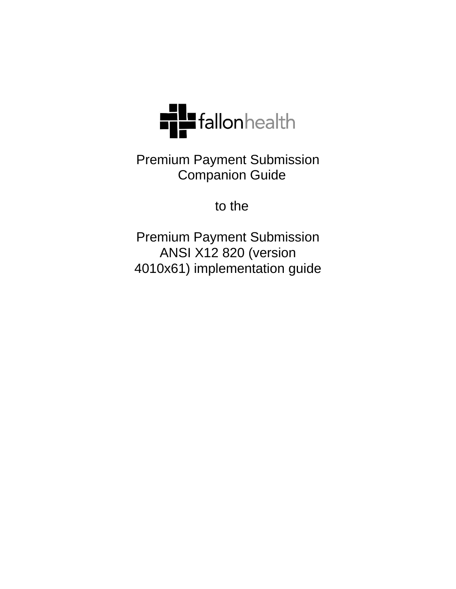

Premium Payment Submission Companion Guide

to the

Premium Payment Submission ANSI X12 820 (version 4010x61) implementation guide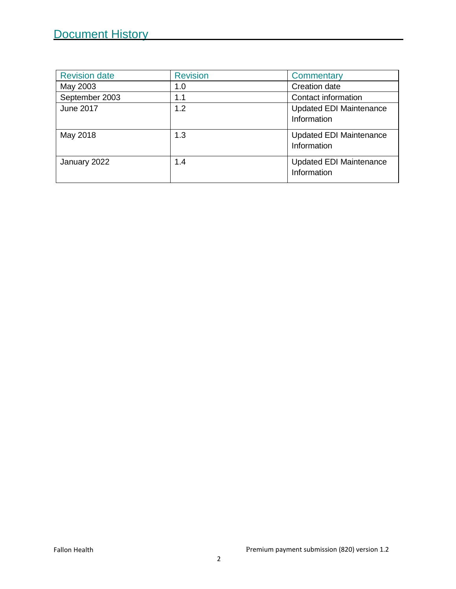| <b>Revision date</b> | <b>Revision</b> | Commentary                                    |
|----------------------|-----------------|-----------------------------------------------|
| May 2003             | 1.0             | Creation date                                 |
| September 2003       | 1.1             | Contact information                           |
| <b>June 2017</b>     | 1.2             | <b>Updated EDI Maintenance</b><br>Information |
| May 2018             | 1.3             | <b>Updated EDI Maintenance</b><br>Information |
| January 2022         | 1.4             | <b>Updated EDI Maintenance</b><br>Information |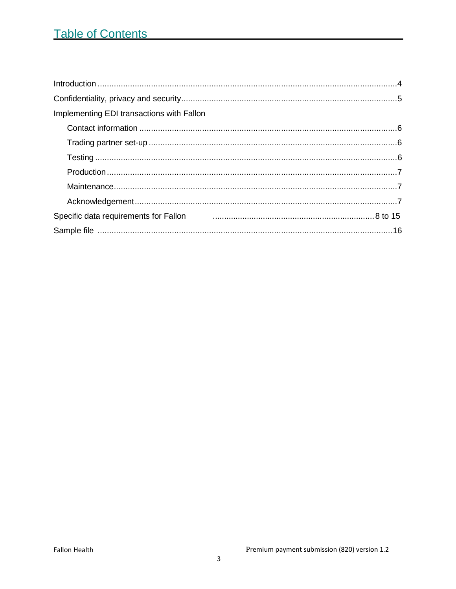| Implementing EDI transactions with Fallon                                                   |  |
|---------------------------------------------------------------------------------------------|--|
|                                                                                             |  |
|                                                                                             |  |
|                                                                                             |  |
|                                                                                             |  |
|                                                                                             |  |
|                                                                                             |  |
| Specific data requirements for Fallon 2001 2003. [10] Specific data requirements for Fallon |  |
|                                                                                             |  |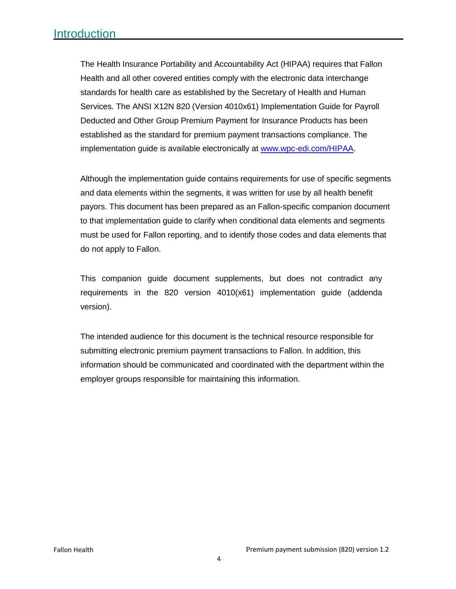<span id="page-3-0"></span>The Health Insurance Portability and Accountability Act (HIPAA) requires that Fallon Health and all other covered entities comply with the electronic data interchange standards for health care as established by the Secretary of Health and Human Services. The ANSI X12N 820 (Version 4010x61) Implementation Guide for Payroll Deducted and Other Group Premium Payment for Insurance Products has been established as the standard for premium payment transactions compliance. The implementation guide is available electronically at [www.wpc-edi.com/HIPAA.](http://www.wpc-edi.com/HIPAA)

Although the implementation guide contains requirements for use of specific segments and data elements within the segments, it was written for use by all health benefit payors. This document has been prepared as an Fallon-specific companion document to that implementation guide to clarify when conditional data elements and segments must be used for Fallon reporting, and to identify those codes and data elements that do not apply to Fallon.

This companion guide document supplements, but does not contradict any requirements in the 820 version 4010(x61) implementation guide (addenda version).

The intended audience for this document is the technical resource responsible for submitting electronic premium payment transactions to Fallon. In addition, this information should be communicated and coordinated with the department within the employer groups responsible for maintaining this information.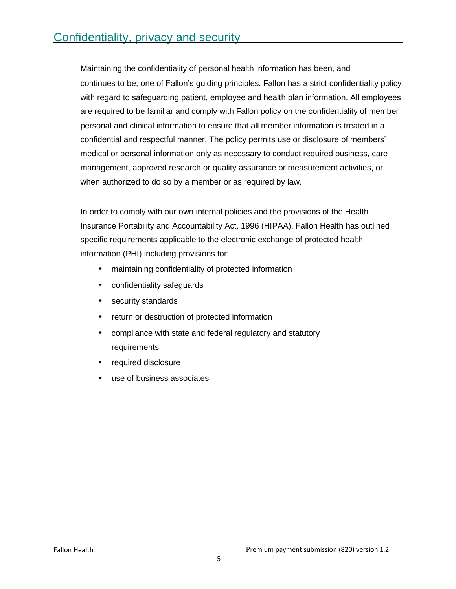<span id="page-4-0"></span>Maintaining the confidentiality of personal health information has been, and continues to be, one of Fallon's guiding principles. Fallon has a strict confidentiality policy with regard to safeguarding patient, employee and health plan information. All employees are required to be familiar and comply with Fallon policy on the confidentiality of member personal and clinical information to ensure that all member information is treated in a confidential and respectful manner. The policy permits use or disclosure of members' medical or personal information only as necessary to conduct required business, care management, approved research or quality assurance or measurement activities, or when authorized to do so by a member or as required by law.

In order to comply with our own internal policies and the provisions of the Health Insurance Portability and Accountability Act, 1996 (HIPAA), Fallon Health has outlined specific requirements applicable to the electronic exchange of protected health information (PHI) including provisions for:

- maintaining confidentiality of protected information
- confidentiality safeguards
- security standards
- return or destruction of protected information
- compliance with state and federal regulatory and statutory requirements
- required disclosure
- use of business associates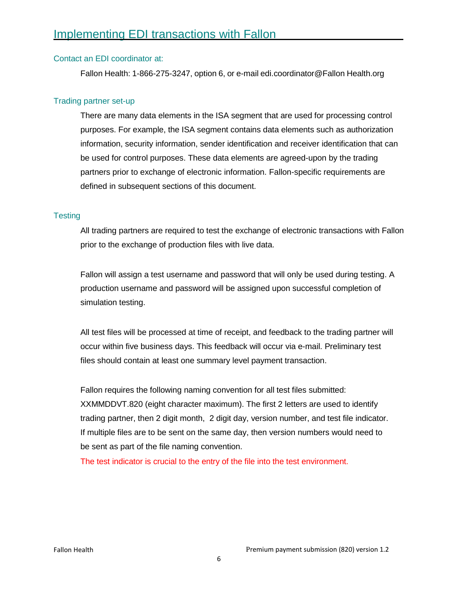### <span id="page-5-0"></span>Contact an EDI coordinator at:

Fallon Health: 1-866-275-3247, option 6, or e-mail edi.coordinator@Fallon Health.org

## Trading partner set-up

There are many data elements in the ISA segment that are used for processing control purposes. For example, the ISA segment contains data elements such as authorization information, security information, sender identification and receiver identification that can be used for control purposes. These data elements are agreed-upon by the trading partners prior to exchange of electronic information. Fallon-specific requirements are defined in subsequent sections of this document.

### **Testing**

All trading partners are required to test the exchange of electronic transactions with Fallon prior to the exchange of production files with live data.

Fallon will assign a test username and password that will only be used during testing. A production username and password will be assigned upon successful completion of simulation testing.

All test files will be processed at time of receipt, and feedback to the trading partner will occur within five business days. This feedback will occur via e-mail. Preliminary test files should contain at least one summary level payment transaction.

Fallon requires the following naming convention for all test files submitted: XXMMDDVT.820 (eight character maximum). The first 2 letters are used to identify trading partner, then 2 digit month, 2 digit day, version number, and test file indicator. If multiple files are to be sent on the same day, then version numbers would need to be sent as part of the file naming convention.

The test indicator is crucial to the entry of the file into the test environment.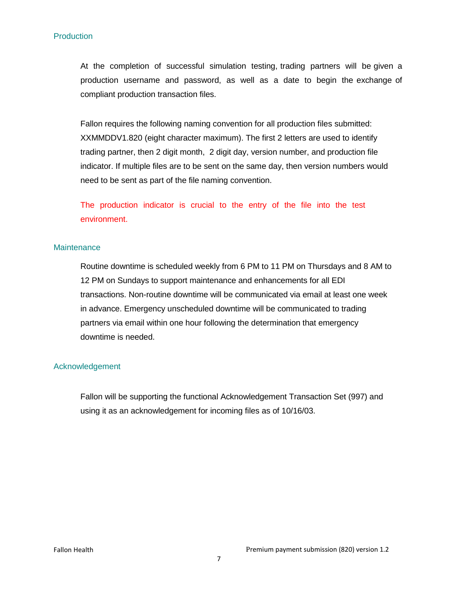### **Production**

At the completion of successful simulation testing, trading partners will be given a production username and password, as well as a date to begin the exchange of compliant production transaction files.

Fallon requires the following naming convention for all production files submitted: XXMMDDV1.820 (eight character maximum). The first 2 letters are used to identify trading partner, then 2 digit month, 2 digit day, version number, and production file indicator. If multiple files are to be sent on the same day, then version numbers would need to be sent as part of the file naming convention.

The production indicator is crucial to the entry of the file into the test environment.

#### **Maintenance**

Routine downtime is scheduled weekly from 6 PM to 11 PM on Thursdays and 8 AM to 12 PM on Sundays to support maintenance and enhancements for all EDI transactions. Non-routine downtime will be communicated via email at least one week in advance. Emergency unscheduled downtime will be communicated to trading partners via email within one hour following the determination that emergency downtime is needed.

#### Acknowledgement

Fallon will be supporting the functional Acknowledgement Transaction Set (997) and using it as an acknowledgement for incoming files as of 10/16/03.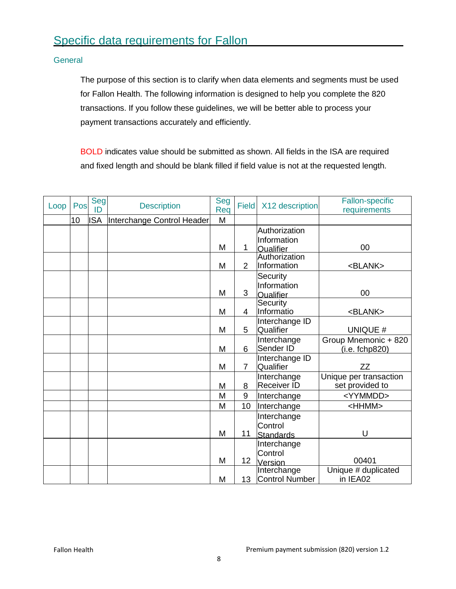# **General**

The purpose of this section is to clarify when data elements and segments must be used for Fallon Health. The following information is designed to help you complete the 820 transactions. If you follow these guidelines, we will be better able to process your payment transactions accurately and efficiently.

BOLD indicates value should be submitted as shown. All fields in the ISA are required and fixed length and should be blank filled if field value is not at the requested length.

| Loop | Pos | Seg<br>ID  | <b>Description</b>         | Seg<br>Req | <b>Field</b>    | X12 description             | <b>Fallon-specific</b><br>requirements    |
|------|-----|------------|----------------------------|------------|-----------------|-----------------------------|-------------------------------------------|
|      | 10  | <b>ISA</b> | Interchange Control Header | M          |                 |                             |                                           |
|      |     |            |                            |            |                 | Authorization               |                                           |
|      |     |            |                            |            |                 | Information                 |                                           |
|      |     |            |                            | M          | 1               | Qualifier                   | 00                                        |
|      |     |            |                            |            |                 | Authorization               |                                           |
|      |     |            |                            | M          | $\overline{2}$  | Information                 | <blank></blank>                           |
|      |     |            |                            |            |                 | Security                    |                                           |
|      |     |            |                            |            |                 | Information                 |                                           |
|      |     |            |                            | M          | 3               | Qualifier                   | 00                                        |
|      |     |            |                            |            |                 | Security                    |                                           |
|      |     |            |                            | M          | 4               | Informatio                  | <blank></blank>                           |
|      |     |            |                            | M          | 5               | Interchange ID<br>Qualifier | <b>UNIQUE #</b>                           |
|      |     |            |                            |            |                 |                             |                                           |
|      |     |            |                            |            | 6               | Interchange<br>Sender ID    | Group Mnemonic + 820                      |
|      |     |            |                            | M          |                 |                             | (i.e. fchp820)                            |
|      |     |            |                            | M          | $\overline{7}$  | Interchange ID<br>Qualifier | <b>ZZ</b>                                 |
|      |     |            |                            |            |                 |                             |                                           |
|      |     |            |                            | M          | 8               | Interchange<br>Receiver ID  | Unique per transaction<br>set provided to |
|      |     |            |                            |            | 9               |                             | <yymmdd></yymmdd>                         |
|      |     |            |                            | M          |                 | Interchange                 |                                           |
|      |     |            |                            | M          | 10              | Interchange                 | <hhmm></hhmm>                             |
|      |     |            |                            |            |                 | Interchange                 |                                           |
|      |     |            |                            |            |                 | Control                     |                                           |
|      |     |            |                            | M          | 11              | Standards                   | U                                         |
|      |     |            |                            |            |                 | Interchange                 |                                           |
|      |     |            |                            | M          | 12 <sub>2</sub> | Control                     | 00401                                     |
|      |     |            |                            |            |                 | Version                     | Unique # duplicated                       |
|      |     |            |                            |            |                 | Interchange                 |                                           |
|      |     |            |                            | M          | 13 <sup>°</sup> | <b>Control Number</b>       | in IEA02                                  |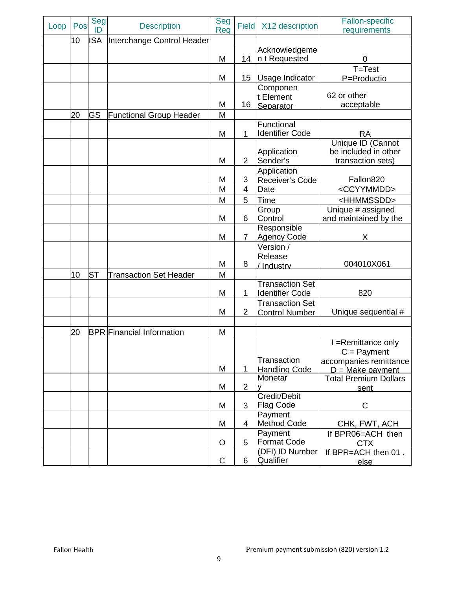| Loop | Pos | Seg<br>ID      | <b>Description</b>               | Seg<br>Req  | Field          | X12 description                                  | <b>Fallon-specific</b><br>requirements                                |
|------|-----|----------------|----------------------------------|-------------|----------------|--------------------------------------------------|-----------------------------------------------------------------------|
|      | 10  | <b>ISA</b>     | Interchange Control Header       |             |                |                                                  |                                                                       |
|      |     |                |                                  | M           | 14             | Acknowledgeme<br>In t Requested                  | 0                                                                     |
|      |     |                |                                  | M           | 15             | Usage Indicator                                  | $T = Test$<br>P=Productio                                             |
|      |     |                |                                  | M           | 16             | Componen<br>t Element<br>Separator               | 62 or other<br>acceptable                                             |
|      | 20  | GS             | <b>Functional Group Header</b>   | M<br>M      | 1              | Functional<br><b>Identifier Code</b>             | <b>RA</b>                                                             |
|      |     |                |                                  | M           | $\overline{2}$ | Application<br>Sender's                          | <b>Unique ID (Cannot</b><br>be included in other<br>transaction sets) |
|      |     |                |                                  | M           | 3              | Application<br><b>Receiver's Code</b>            | Fallon820                                                             |
|      |     |                |                                  | M           | $\overline{4}$ | Date                                             | <ccyymmdd></ccyymmdd>                                                 |
|      |     |                |                                  | M           | 5              | Time                                             | <hhmmssdd></hhmmssdd>                                                 |
|      |     |                |                                  | M           | 6              | Group<br>Control                                 | Unique # assigned<br>and maintained by the                            |
|      |     |                |                                  | M           | $\overline{7}$ | Responsible<br><b>Agency Code</b>                | X                                                                     |
|      |     |                |                                  | M           | 8              | Version /<br>Release<br>Industry                 | 004010X061                                                            |
|      | 10  | S <sub>T</sub> | <b>Transaction Set Header</b>    | M           |                |                                                  |                                                                       |
|      |     |                |                                  | M           | 1              | <b>Transaction Set</b><br><b>Identifier Code</b> | 820                                                                   |
|      |     |                |                                  | M           | $\overline{2}$ | <b>Transaction Set</b><br>Control Number         | Unique sequential #                                                   |
|      | 20  |                | <b>BPR</b> Financial Information | M           |                |                                                  |                                                                       |
|      |     |                |                                  |             |                |                                                  | I = Remittance only<br>$C =$ Payment                                  |
|      |     |                |                                  | M           | 1              | Transaction<br><b>Handling Code</b>              | accompanies remittance<br>$D = Make$ payment                          |
|      |     |                |                                  | M           | $\overline{2}$ | Monetar                                          | <b>Total Premium Dollars</b><br>sent                                  |
|      |     |                |                                  | M           | 3              | Credit/Debit<br><b>Flag Code</b>                 | C                                                                     |
|      |     |                |                                  | M           | 4              | Payment<br><b>Method Code</b>                    | CHK, FWT, ACH                                                         |
|      |     |                |                                  | O           | 5              | Payment<br><b>Format Code</b>                    | If BPR06=ACH then<br><b>CTX</b>                                       |
|      |     |                |                                  | $\mathsf C$ | 6              | (DFI) ID Number<br>Qualifier                     | If BPR=ACH then 01,<br>else                                           |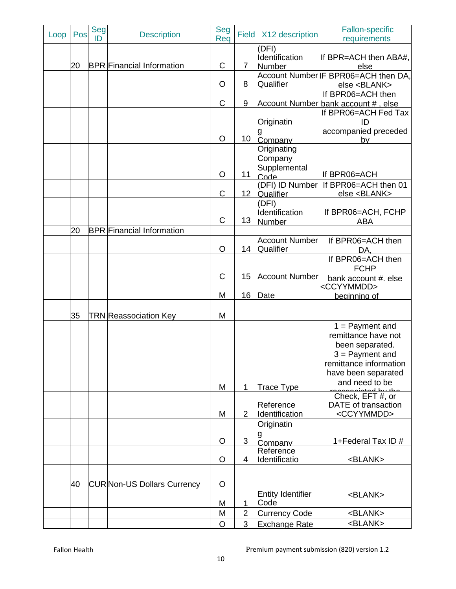| Loop | Pos | Seg<br>ID | <b>Description</b>                | Seg<br>Req  | Field           | X12 description                          | <b>Fallon-specific</b><br>requirements                                                                                                              |
|------|-----|-----------|-----------------------------------|-------------|-----------------|------------------------------------------|-----------------------------------------------------------------------------------------------------------------------------------------------------|
|      | 20  |           | <b>BPR Financial Information</b>  | C           | $\overline{7}$  | (DFI)<br>Identification<br>Number        | If BPR=ACH then $ABA#$ ,<br>else                                                                                                                    |
|      |     |           |                                   | O           | 8               | Qualifier                                | Account Number IF BPR06=ACH then DA,<br>else <blank></blank>                                                                                        |
|      |     |           |                                   | C           | 9               |                                          | If BPR06=ACH then<br>Account Number bank account #, else                                                                                            |
|      |     |           |                                   |             |                 | Originatin                               | If BPR06=ACH Fed Tax<br>ID                                                                                                                          |
|      |     |           |                                   | O           | 10 <sup>°</sup> | Company                                  | accompanied preceded<br>b٧                                                                                                                          |
|      |     |           |                                   |             |                 | Originating<br>Company<br>Supplemental   |                                                                                                                                                     |
|      |     |           |                                   | O           | 11              | Code                                     | If BPR06=ACH<br>If BPR06=ACH then 01                                                                                                                |
|      |     |           |                                   | $\mathsf C$ | 12 <sup>2</sup> | (DFI) ID Number<br>Qualifier             | else <blank></blank>                                                                                                                                |
|      |     |           |                                   | $\mathsf C$ | 13              | (DFI)<br>Identification<br><b>Number</b> | If BPR06=ACH, FCHP<br><b>ABA</b>                                                                                                                    |
|      | 20  |           | <b>BPR</b> Financial Information  |             |                 |                                          |                                                                                                                                                     |
|      |     |           |                                   | O           | 14              | <b>Account Number</b><br>Qualifier       | If BPR06=ACH then<br>DA.                                                                                                                            |
|      |     |           |                                   |             |                 |                                          | If BPR06=ACH then<br><b>FCHP</b>                                                                                                                    |
|      |     |           |                                   | $\mathsf C$ | 15              | <b>Account Number</b>                    | bank account #. else<br><ccyymmdd></ccyymmdd>                                                                                                       |
|      |     |           |                                   | M           | 16              | Date                                     | beginning of                                                                                                                                        |
|      |     |           |                                   |             |                 |                                          |                                                                                                                                                     |
|      | 35  |           | <b>TRN</b> Reassociation Key      | M           |                 |                                          |                                                                                                                                                     |
|      |     |           |                                   | M           | 1               | <b>Trace Type</b>                        | $1 =$ Payment and<br>remittance have not<br>been separated.<br>$3 =$ Payment and<br>remittance information<br>have been separated<br>and need to be |
|      |     |           |                                   | M           | $\overline{2}$  | Reference<br>Identification              | Check, EFT #, or<br>DATE of transaction<br><ccyymmdd></ccyymmdd>                                                                                    |
|      |     |           |                                   |             |                 | Originatin                               |                                                                                                                                                     |
|      |     |           |                                   | O           | 3               | Company                                  | 1+Federal Tax ID #                                                                                                                                  |
|      |     |           |                                   | O           | 4               | Reference<br>Identificatio               | <blank></blank>                                                                                                                                     |
|      | 40  |           | <b>CURNon-US Dollars Currency</b> | O           |                 |                                          |                                                                                                                                                     |
|      |     |           |                                   |             |                 | <b>Entity Identifier</b>                 | <blank></blank>                                                                                                                                     |
|      |     |           |                                   | M           | 1               | Code                                     |                                                                                                                                                     |
|      |     |           |                                   | M           | $\overline{2}$  | <b>Currency Code</b>                     | <blank></blank>                                                                                                                                     |
|      |     |           |                                   | O           | 3               | <b>Exchange Rate</b>                     | <blank></blank>                                                                                                                                     |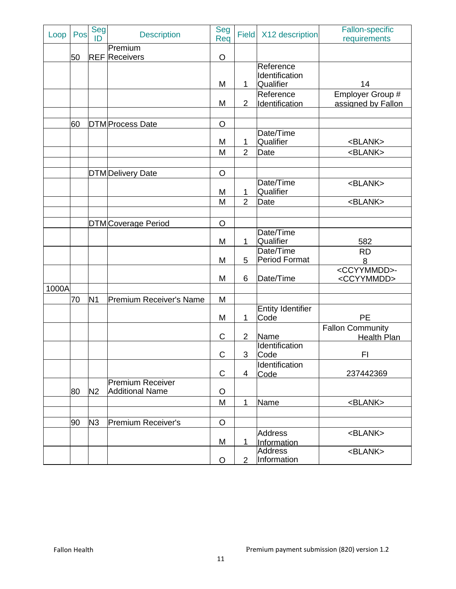| Loop  | Pos | Seg<br>ID      | <b>Description</b>                                | Seg<br>Req     | <b>Field</b>   | X12 description                          | <b>Fallon-specific</b><br>requirements           |
|-------|-----|----------------|---------------------------------------------------|----------------|----------------|------------------------------------------|--------------------------------------------------|
|       | 50  |                | Premium<br><b>REF</b> Receivers                   | $\circ$        |                |                                          |                                                  |
|       |     |                |                                                   | M              | 1              | Reference<br>Identification<br>Qualifier | 14                                               |
|       |     |                |                                                   | M              | $\overline{2}$ | Reference<br>Identification              | Employer Group #<br>assigned by Fallon           |
|       | 60  |                | <b>DTM</b> Process Date                           | $\circ$        |                |                                          |                                                  |
|       |     |                |                                                   | M              | 1              | Date/Time<br>Qualifier                   | <blank></blank>                                  |
|       |     |                |                                                   | M              | $\overline{2}$ | Date                                     | <blank></blank>                                  |
|       |     |                | <b>DTM</b> Delivery Date                          | $\circ$        |                |                                          |                                                  |
|       |     |                |                                                   | M              | 1              | Date/Time<br>Qualifier                   | <blank></blank>                                  |
|       |     |                |                                                   | M              | $\overline{2}$ | Date                                     | <blank></blank>                                  |
|       |     |                | DTM Coverage Period                               | $\overline{O}$ |                |                                          |                                                  |
|       |     |                |                                                   | M              | 1              | Date/Time<br>Qualifier                   | 582                                              |
|       |     |                |                                                   | M              | 5              | Date/Time<br><b>Period Format</b>        | <b>RD</b><br>8                                   |
|       |     |                |                                                   | M              | 6              | Date/Time                                | <ccyymmdd>-<br/><ccyymmdd></ccyymmdd></ccyymmdd> |
| 1000A |     |                |                                                   |                |                |                                          |                                                  |
|       | 70  | N <sub>1</sub> | <b>Premium Receiver's Name</b>                    | M<br>M         | 1              | Entity Identifier<br>Code                | PE                                               |
|       |     |                |                                                   | $\mathsf C$    | $\overline{2}$ | Name                                     | <b>Fallon Community</b><br><b>Health Plan</b>    |
|       |     |                |                                                   | C              | 3              | Identification<br>Code                   | FI.                                              |
|       |     |                |                                                   | $\mathsf C$    | 4              | Identification<br>Code                   | 237442369                                        |
|       | 80  | N <sub>2</sub> | <b>Premium Receiver</b><br><b>Additional Name</b> | O              |                |                                          |                                                  |
|       |     |                |                                                   | M              | 1              | Name                                     | <blank></blank>                                  |
|       | 90  | N <sub>3</sub> | Premium Receiver's                                | O              |                |                                          |                                                  |
|       |     |                |                                                   | M              | 1              | <b>Address</b><br>Information            | <blank></blank>                                  |
|       |     |                |                                                   | O              | $\overline{2}$ | <b>Address</b><br>Information            | <blank></blank>                                  |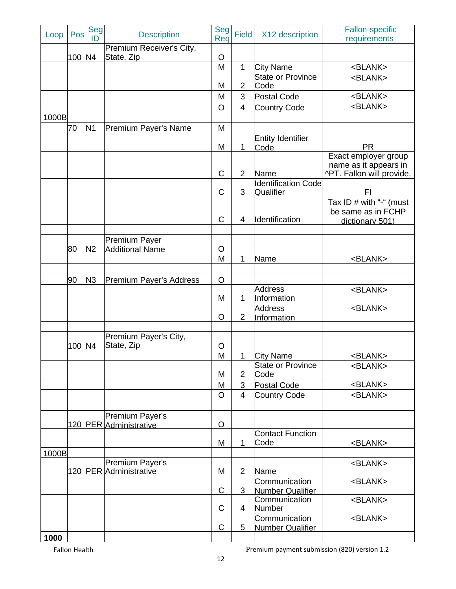| Loop  | Pos    | <b>Seg</b><br>ID | <b>Description</b>                             | <b>Seg</b><br>Rea | <b>Field</b>        | X12 description                          | <b>Fallon-specific</b><br>requirements                                     |
|-------|--------|------------------|------------------------------------------------|-------------------|---------------------|------------------------------------------|----------------------------------------------------------------------------|
|       | 100 N4 |                  | Premium Receiver's City,<br>State, Zip         | O                 |                     |                                          |                                                                            |
|       |        |                  |                                                | M                 | 1                   | <b>City Name</b>                         | <blank></blank>                                                            |
|       |        |                  |                                                | M                 | $\overline{2}$      | <b>State or Province</b><br>Code         | <blank></blank>                                                            |
|       |        |                  |                                                | М                 | 3                   | Postal Code                              | <blank></blank>                                                            |
|       |        |                  |                                                | O                 | 4                   | <b>Country Code</b>                      | <blank></blank>                                                            |
| 1000B |        |                  |                                                |                   |                     |                                          |                                                                            |
|       | 70     | N <sub>1</sub>   | Premium Payer's Name                           | M                 |                     |                                          |                                                                            |
|       |        |                  |                                                |                   |                     | Entity Identifier                        |                                                                            |
|       |        |                  |                                                | М                 | 1                   | Code                                     | <b>PR</b>                                                                  |
|       |        |                  |                                                | C                 | $\overline{2}$      | Name                                     | Exact employer group<br>name as it appears in<br>^PT. Fallon will provide. |
|       |        |                  |                                                | C                 | 3                   | <b>Identification Code</b><br>Qualifier  | FI                                                                         |
|       |        |                  |                                                | $\mathsf C$       | $\overline{4}$      | Identification                           | Tax ID # with "-" (must<br>be same as in FCHP<br>dictionary 501)           |
|       |        |                  |                                                |                   |                     |                                          |                                                                            |
|       | 80     | N <sub>2</sub>   | <b>Premium Payer</b><br><b>Additional Name</b> | O                 |                     |                                          |                                                                            |
|       |        |                  |                                                | M                 | $\mathbf{1}$        | Name                                     | <blank></blank>                                                            |
|       |        |                  |                                                |                   |                     |                                          |                                                                            |
|       | 90     | N <sub>3</sub>   | <b>Premium Payer's Address</b>                 | O                 |                     |                                          |                                                                            |
|       |        |                  |                                                | M                 | 1                   | <b>Address</b><br>Information            | <blank></blank>                                                            |
|       |        |                  |                                                | O                 | $\overline{2}$      | <b>Address</b><br>Information            | <blank></blank>                                                            |
|       |        |                  |                                                |                   |                     |                                          |                                                                            |
|       | 100 N4 |                  | Premium Payer's City,<br>State, Zip            | O                 |                     |                                          |                                                                            |
|       |        |                  |                                                | М                 | $\mathbf{1}$        | <b>City Name</b>                         | <blank></blank>                                                            |
|       |        |                  |                                                |                   |                     | <b>State or Province</b>                 | <blank></blank>                                                            |
|       |        |                  |                                                | М                 | $\overline{2}$      | Code                                     | <blank></blank>                                                            |
|       |        |                  |                                                | M<br>$\circ$      | 3<br>$\overline{4}$ | Postal Code<br>Country Code              | <blank></blank>                                                            |
|       |        |                  |                                                |                   |                     |                                          |                                                                            |
|       |        |                  | Premium Payer's<br>120 PER Administrative      | O                 |                     |                                          |                                                                            |
|       |        |                  |                                                | M                 | 1                   | <b>Contact Function</b><br>Code          | <blank></blank>                                                            |
| 1000B |        |                  |                                                |                   |                     |                                          |                                                                            |
|       |        |                  | Premium Payer's<br>120 PER Administrative      | M                 | $\overline{2}$      | Name                                     | <blank></blank>                                                            |
|       |        |                  |                                                | C                 | 3                   | Communication<br>Number Qualifier        | <blank></blank>                                                            |
|       |        |                  |                                                | C                 | $\overline{4}$      | Communication<br>Number                  | <blank></blank>                                                            |
|       |        |                  |                                                | $\mathsf C$       | $5\phantom{.0}$     | Communication<br><b>Number Qualifier</b> | <blank></blank>                                                            |
| 1000  |        |                  |                                                |                   |                     |                                          |                                                                            |

Fallon Health **Premium payment submission (820)** version 1.2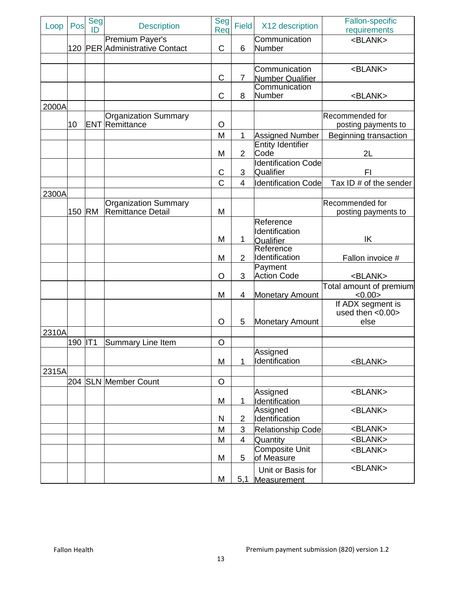| Seg<br>Seg<br>Pos<br><b>Description</b><br><b>Field</b><br>X12 description<br>Loop<br>ID<br>Req | <b>Fallon-specific</b><br>requirements |
|-------------------------------------------------------------------------------------------------|----------------------------------------|
| Premium Payer's<br>Communication<br>120 PER Administrative Contact<br><b>Number</b><br>C<br>6   | <blank></blank>                        |
|                                                                                                 |                                        |
| Communication                                                                                   | <blank></blank>                        |
| C<br>$\overline{7}$<br>Number Qualifier                                                         |                                        |
| Communication                                                                                   |                                        |
| Number<br>C<br>8                                                                                | <blank></blank>                        |
| 2000A<br>Recommended for                                                                        |                                        |
| <b>Organization Summary</b><br><b>ENT</b> Remittance<br>10<br>O                                 | posting payments to                    |
| M<br>1<br><b>Assigned Number</b>                                                                | Beginning transaction                  |
| <b>Entity Identifier</b>                                                                        |                                        |
| $\overline{2}$<br>Code<br>M                                                                     | 2L                                     |
| <b>Identification Code</b>                                                                      |                                        |
| Qualifier<br>3<br>С                                                                             | FI                                     |
| C<br><b>Identification Code</b><br>$\overline{4}$                                               | Tax ID # of the sender                 |
| 2300A                                                                                           |                                        |
| Recommended for<br><b>Organization Summary</b>                                                  |                                        |
| Remittance Detail<br><b>RM</b><br>M<br>150                                                      | posting payments to                    |
| Reference                                                                                       |                                        |
| Identification<br>1<br>M                                                                        | IK                                     |
| <b>Qualifier</b><br>Reference                                                                   |                                        |
| Identification<br>$\overline{2}$<br>M                                                           | Fallon invoice #                       |
| Payment                                                                                         |                                        |
| 3<br><b>Action Code</b><br>O                                                                    | <blank></blank>                        |
|                                                                                                 | Total amount of premium                |
| М<br>4<br>Monetary Amount                                                                       | <0.00                                  |
|                                                                                                 | If ADX segment is<br>used then <0.00>  |
| 5<br>O<br><b>Monetary Amount</b>                                                                | else                                   |
| 2310A                                                                                           |                                        |
| 190 IT1<br>O<br>Summary Line Item                                                               |                                        |
| Assigned                                                                                        |                                        |
| Identification<br>M<br>1                                                                        | <blank></blank>                        |
| 2315A                                                                                           |                                        |
| 204 SLN Member Count<br>O                                                                       |                                        |
| Assigned                                                                                        | $<$ BLANK $>$                          |
| М<br>1<br>Identification                                                                        |                                        |
| Assigned                                                                                        |                                        |
| $\overline{2}$<br>Identification<br>Ν                                                           | <blank></blank>                        |
| 3<br>M<br><b>Relationship Code</b>                                                              |                                        |
|                                                                                                 | <blank></blank>                        |
| $\overline{4}$<br>M<br>Quantity                                                                 | <blank></blank>                        |
| <b>Composite Unit</b>                                                                           | <blank></blank>                        |
| of Measure<br>5<br>M<br>Unit or Basis for                                                       | <blank></blank>                        |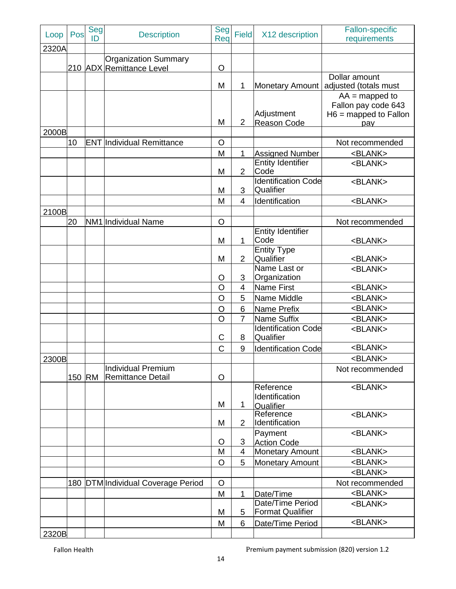| Loop  | Pos    | Seg<br>ID | <b>Description</b>                 | Seg<br>Req     | <b>Field</b>    | X12 description                  | <b>Fallon-specific</b><br>requirements |
|-------|--------|-----------|------------------------------------|----------------|-----------------|----------------------------------|----------------------------------------|
| 2320A |        |           |                                    |                |                 |                                  |                                        |
|       |        |           | <b>Organization Summary</b>        |                |                 |                                  |                                        |
|       |        |           | 210 ADX Remittance Level           | O              |                 |                                  |                                        |
|       |        |           |                                    | M              | 1               | Monetary Amount                  | Dollar amount<br>adjusted (totals must |
|       |        |           |                                    |                |                 |                                  | $AA =$ mapped to                       |
|       |        |           |                                    |                |                 |                                  | Fallon pay code 643                    |
|       |        |           |                                    | M              | $\overline{2}$  | Adjustment<br><b>Reason Code</b> | $H6$ = mapped to Fallon<br>pay         |
| 2000B |        |           |                                    |                |                 |                                  |                                        |
|       | 10     |           | <b>ENT</b> Individual Remittance   | O              |                 |                                  | Not recommended                        |
|       |        |           |                                    | M              | 1               | <b>Assigned Number</b>           | <blank></blank>                        |
|       |        |           |                                    |                |                 | <b>Entity Identifier</b>         | <blank></blank>                        |
|       |        |           |                                    | M              | $\overline{2}$  | Code                             |                                        |
|       |        |           |                                    |                |                 | <b>Identification Code</b>       | <blank></blank>                        |
|       |        |           |                                    | M              | 3               | Qualifier                        |                                        |
|       |        |           |                                    | M              | 4               | Identification                   | <blank></blank>                        |
| 2100B |        |           |                                    |                |                 |                                  |                                        |
|       | 20     |           | NM1 Individual Name                | O              |                 |                                  | Not recommended                        |
|       |        |           |                                    |                |                 | <b>Entity Identifier</b>         |                                        |
|       |        |           |                                    | M              | 1               | Code                             | <blank></blank>                        |
|       |        |           |                                    |                |                 | <b>Entity Type</b>               |                                        |
|       |        |           |                                    | M              | $\overline{2}$  | Qualifier<br>Name Last or        | <blank></blank>                        |
|       |        |           |                                    | O              | $\mathbf{3}$    | Organization                     | <blank></blank>                        |
|       |        |           |                                    | Ο              | 4               | <b>Name First</b>                | <blank></blank>                        |
|       |        |           |                                    | $\overline{O}$ | 5               | Name Middle                      | <blank></blank>                        |
|       |        |           |                                    | $\circ$        | $6\phantom{1}6$ | Name Prefix                      | <blank></blank>                        |
|       |        |           |                                    | $\overline{O}$ | $\overline{7}$  | Name Suffix                      | <blank></blank>                        |
|       |        |           |                                    |                |                 | Identification Code              | <blank></blank>                        |
|       |        |           |                                    | C              | 8               | Qualifier                        |                                        |
|       |        |           |                                    | $\mathsf C$    | $9\,$           | <b>Identification Code</b>       | <blank></blank>                        |
| 2300B |        |           |                                    |                |                 |                                  | <blank></blank>                        |
|       |        |           | Individual Premium                 |                |                 |                                  | Not recommended                        |
|       | 150 RM |           | Remittance Detail                  | O              |                 |                                  |                                        |
|       |        |           |                                    |                |                 | Reference                        | <blank></blank>                        |
|       |        |           |                                    | M              | 1               | Identification                   |                                        |
|       |        |           |                                    |                |                 | Qualifier<br>Reference           | <blank></blank>                        |
|       |        |           |                                    | M              | $\overline{2}$  | Identification                   |                                        |
|       |        |           |                                    |                |                 | Payment                          | <blank></blank>                        |
|       |        |           |                                    | O              | $\mathfrak{B}$  | <b>Action Code</b>               |                                        |
|       |        |           |                                    | M              | $\overline{4}$  | <b>Monetary Amount</b>           | <blank></blank>                        |
|       |        |           |                                    | O              | 5               | <b>Monetary Amount</b>           | <blank></blank>                        |
|       |        |           |                                    |                |                 |                                  | <blank></blank>                        |
|       |        |           | 180 DTM Individual Coverage Period | $\circ$        |                 |                                  | Not recommended                        |
|       |        |           |                                    | M              | 1               | Date/Time                        | <blank></blank>                        |
|       |        |           |                                    |                |                 | Date/Time Period                 | <blank></blank>                        |
|       |        |           |                                    | M              | 5               | <b>Format Qualifier</b>          |                                        |
|       |        |           |                                    | M              | $6\phantom{1}$  | Date/Time Period                 | <blank></blank>                        |
| 2320B |        |           |                                    |                |                 |                                  |                                        |

Fallon Health Premium payment submission (820) version 1.2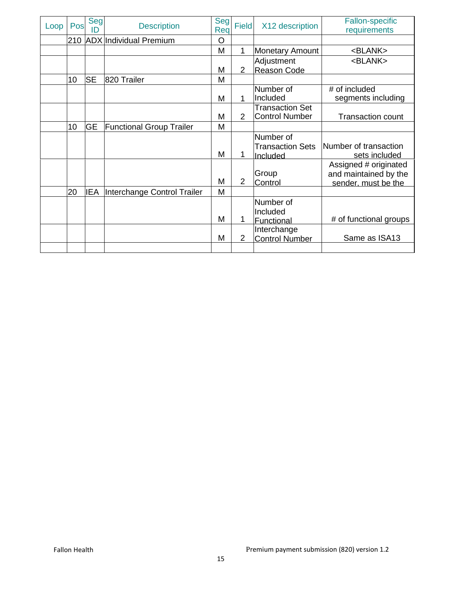| Loop | Pos | <b>Seg</b><br>ID | <b>Description</b>              | Seg<br>Req | <b>Field</b>   | X12 description                      | <b>Fallon-specific</b><br>requirements         |
|------|-----|------------------|---------------------------------|------------|----------------|--------------------------------------|------------------------------------------------|
|      |     |                  | 210 ADX Individual Premium      | O          |                |                                      |                                                |
|      |     |                  |                                 | M          | 1              | <b>Monetary Amount</b>               | <blank></blank>                                |
|      |     |                  |                                 |            |                | Adjustment                           | <blank></blank>                                |
|      |     |                  |                                 | M          | $\overline{2}$ | <b>Reason Code</b>                   |                                                |
|      | 10  | <b>SE</b>        | 820 Trailer                     | M          |                |                                      |                                                |
|      |     |                  |                                 |            |                | Number of                            | # of included                                  |
|      |     |                  |                                 | M          | 1              | Included                             | segments including                             |
|      |     |                  |                                 |            |                | <b>Transaction Set</b>               |                                                |
|      |     |                  |                                 | M          | $\overline{2}$ | <b>Control Number</b>                | <b>Transaction count</b>                       |
|      | 10  | <b>GE</b>        | <b>Functional Group Trailer</b> | М          |                |                                      |                                                |
|      |     |                  |                                 |            |                | Number of                            |                                                |
|      |     |                  |                                 |            |                | <b>Transaction Sets</b>              | Number of transaction                          |
|      |     |                  |                                 | M          | 1              | Included                             | sets included                                  |
|      |     |                  |                                 |            |                | Group                                | Assigned # originated<br>and maintained by the |
|      |     |                  |                                 | M          | $\overline{2}$ | Control                              | sender, must be the                            |
|      | 20  | <b>IEA</b>       | Interchange Control Trailer     | M          |                |                                      |                                                |
|      |     |                  |                                 |            |                | Number of<br>Included                |                                                |
|      |     |                  |                                 | M          | 1              | Functional                           | # of functional groups                         |
|      |     |                  |                                 | M          | $\overline{2}$ | Interchange<br><b>Control Number</b> | Same as ISA13                                  |
|      |     |                  |                                 |            |                |                                      |                                                |